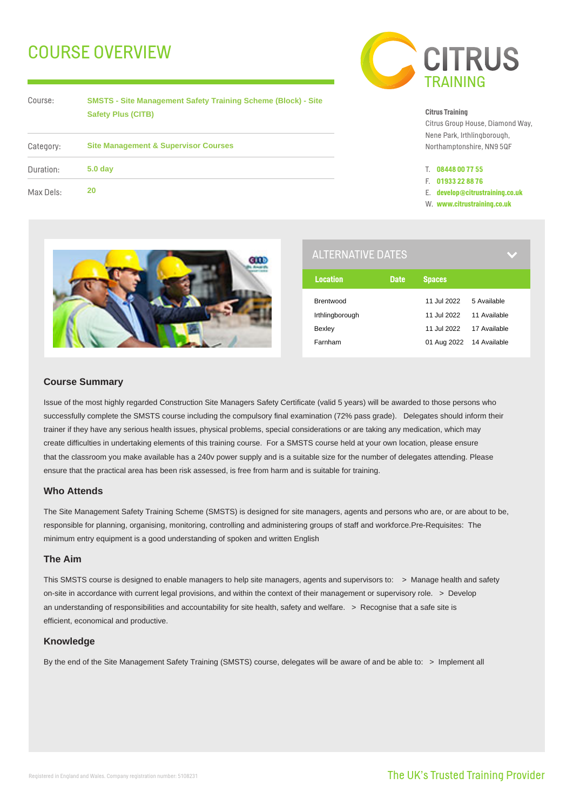# COURSE OVERVIEW



| Course:   |  |
|-----------|--|
|           |  |
|           |  |
| Category: |  |
|           |  |

**SMSTS - Site Management Safety Training Scheme (Block) - Site Safety Plus (CITB)**

| Category: | <b>Site Management &amp; Supervisor Courses</b> |  |  |
|-----------|-------------------------------------------------|--|--|
| Duration: | 5.0 <sub>day</sub>                              |  |  |
| Max Dels: | 20                                              |  |  |



Citrus Group House, Diamond Way, Nene Park, Irthlingborough, Northamptonshire, NN9 5QF

- T. **08448 00 77 55**
- F. **01933 22 88 76**
- E. **develop@citrustraining.co.uk**
- W. **www.citrustraining.co.uk**



| <b>ALTERNATIVE DATES</b> |             |                          |              |
|--------------------------|-------------|--------------------------|--------------|
| <b>Location</b>          | <b>Date</b> | <b>Spaces</b>            |              |
| <b>Brentwood</b>         |             | 11.Jul 2022              | 5 Available  |
| Irthlingborough          |             | 11 Jul 2022              | 11 Available |
| Bexley                   |             | 11 Jul 2022              | 17 Available |
| Farnham                  |             | 01 Aug 2022 14 Available |              |

# **Course Summary**

Issue of the most highly regarded Construction Site Managers Safety Certificate (valid 5 years) will be awarded to those persons who successfully complete the SMSTS course including the compulsory final examination (72% pass grade). Delegates should inform their trainer if they have any serious health issues, physical problems, special considerations or are taking any medication, which may create difficulties in undertaking elements of this training course. For a SMSTS course held at your own location, please ensure that the classroom you make available has a 240v power supply and is a suitable size for the number of delegates attending. Please ensure that the practical area has been risk assessed, is free from harm and is suitable for training.

# **Who Attends**

The Site Management Safety Training Scheme (SMSTS) is designed for site managers, agents and persons who are, or are about to be, responsible for planning, organising, monitoring, controlling and administering groups of staff and workforce.Pre-Requisites: The minimum entry equipment is a good understanding of spoken and written English

# **The Aim**

This SMSTS course is designed to enable managers to help site managers, agents and supervisors to: > Manage health and safety on-site in accordance with current legal provisions, and within the context of their management or supervisory role. > Develop an understanding of responsibilities and accountability for site health, safety and welfare. > Recognise that a safe site is efficient, economical and productive.

# **Knowledge**

By the end of the Site Management Safety Training (SMSTS) course, delegates will be aware of and be able to: > Implement all